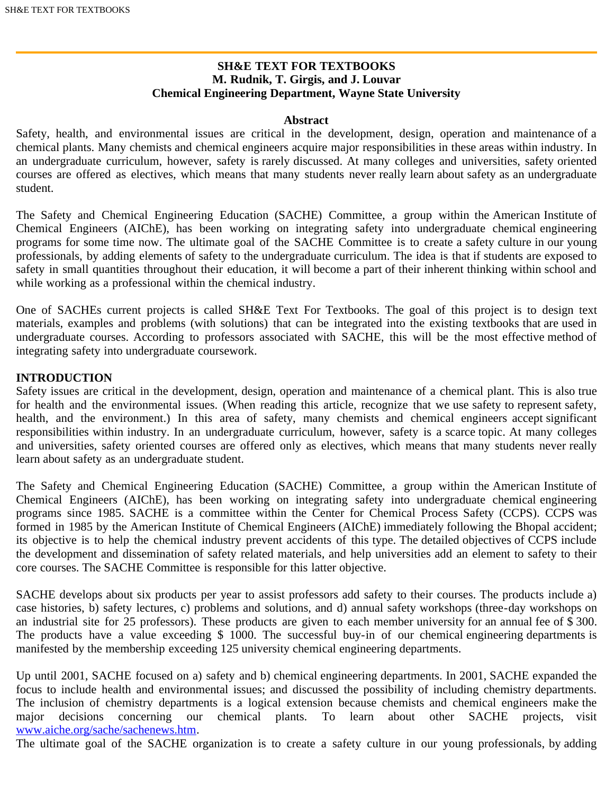# **SH&E TEXT FOR TEXTBOOKS M. Rudnik, T. Girgis, and J. Louvar Chemical Engineering Department, Wayne State University**

#### **Abstract**

Safety, health, and environmental issues are critical in the development, design, operation and maintenance of a chemical plants. Many chemists and chemical engineers acquire major responsibilities in these areas within industry. In an undergraduate curriculum, however, safety is rarely discussed. At many colleges and universities, safety oriented courses are offered as electives, which means that many students never really learn about safety as an undergraduate student.

The Safety and Chemical Engineering Education (SACHE) Committee, a group within the American Institute of Chemical Engineers (AIChE), has been working on integrating safety into undergraduate chemical engineering programs for some time now. The ultimate goal of the SACHE Committee is to create a safety culture in our young professionals, by adding elements of safety to the undergraduate curriculum. The idea is that if students are exposed to safety in small quantities throughout their education, it will become a part of their inherent thinking within school and while working as a professional within the chemical industry.

One of SACHEs current projects is called SH&E Text For Textbooks. The goal of this project is to design text materials, examples and problems (with solutions) that can be integrated into the existing textbooks that are used in undergraduate courses. According to professors associated with SACHE, this will be the most effective method of integrating safety into undergraduate coursework.

### **INTRODUCTION**

Safety issues are critical in the development, design, operation and maintenance of a chemical plant. This is also true for health and the environmental issues. (When reading this article, recognize that we use safety to represent safety, health, and the environment.) In this area of safety, many chemists and chemical engineers accept significant responsibilities within industry. In an undergraduate curriculum, however, safety is a scarce topic. At many colleges and universities, safety oriented courses are offered only as electives, which means that many students never really learn about safety as an undergraduate student.

The Safety and Chemical Engineering Education (SACHE) Committee, a group within the American Institute of Chemical Engineers (AIChE), has been working on integrating safety into undergraduate chemical engineering programs since 1985. SACHE is a committee within the Center for Chemical Process Safety (CCPS). CCPS was formed in 1985 by the American Institute of Chemical Engineers (AIChE) immediately following the Bhopal accident; its objective is to help the chemical industry prevent accidents of this type. The detailed objectives of CCPS include the development and dissemination of safety related materials, and help universities add an element to safety to their core courses. The SACHE Committee is responsible for this latter objective.

SACHE develops about six products per year to assist professors add safety to their courses. The products include a) case histories, b) safety lectures, c) problems and solutions, and d) annual safety workshops (three-day workshops on an industrial site for 25 professors). These products are given to each member university for an annual fee of \$ 300. The products have a value exceeding \$ 1000. The successful buy-in of our chemical engineering departments is manifested by the membership exceeding 125 university chemical engineering departments.

Up until 2001, SACHE focused on a) safety and b) chemical engineering departments. In 2001, SACHE expanded the focus to include health and environmental issues; and discussed the possibility of including chemistry departments. The inclusion of chemistry departments is a logical extension because chemists and chemical engineers make the major decisions concerning our chemical plants. To learn about other SACHE projects, visit major decisions concerning our chemical plants. To learn about other SACHE projects, visit [www.aiche.org/sache/sachenews.htm](http://www.aiche.org/sache/sachenews.htm).

The ultimate goal of the SACHE organization is to create a safety culture in our young professionals, by adding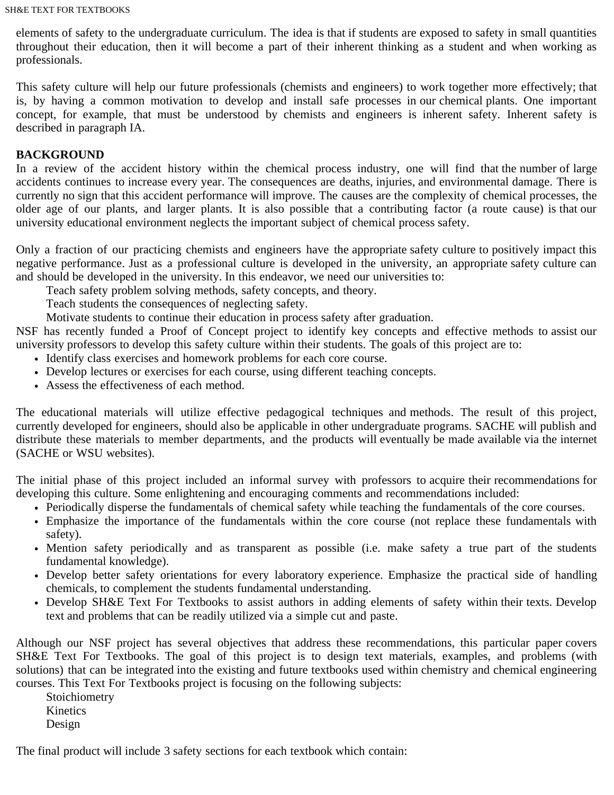elements of safety to the undergraduate curriculum. The idea is that if students are exposed to safety in small quantities throughout their education, then it will become a part of their inherent thinking as a student and when working as professionals.

This safety culture will help our future professionals (chemists and engineers) to work together more effectively; that is, by having a common motivation to develop and install safe processes in our chemical plants. One important concept, for example, that must be understood by chemists and engineers is inherent safety. Inherent safety is described in paragraph IA.

# **BACKGROUND**

In a review of the accident history within the chemical process industry, one will find that the number of large accidents continues to increase every year. The consequences are deaths, injuries, and environmental damage. There is currently no sign that this accident performance will improve. The causes are the complexity of chemical processes, the older age of our plants, and larger plants. It is also possible that a contributing factor (a route cause) is that our university educational environment neglects the important subject of chemical process safety.

Only a fraction of our practicing chemists and engineers have the appropriate safety culture to positively impact this negative performance. Just as a professional culture is developed in the university, an appropriate safety culture can and should be developed in the university. In this endeavor, we need our universities to:

Teach safety problem solving methods, safety concepts, and theory.

Teach students the consequences of neglecting safety.

Motivate students to continue their education in process safety after graduation.

NSF has recently funded a Proof of Concept project to identify key concepts and effective methods to assist our university professors to develop this safety culture within their students. The goals of this project are to:

- Identify class exercises and homework problems for each core course.
- Develop lectures or exercises for each course, using different teaching concepts.
- Assess the effectiveness of each method.

The educational materials will utilize effective pedagogical techniques and methods. The result of this project, currently developed for engineers, should also be applicable in other undergraduate programs. SACHE will publish and distribute these materials to member departments, and the products will eventually be made available via the internet (SACHE or WSU websites).

The initial phase of this project included an informal survey with professors to acquire their recommendations for developing this culture. Some enlightening and encouraging comments and recommendations included:

- Periodically disperse the fundamentals of chemical safety while teaching the fundamentals of the core courses.
- Emphasize the importance of the fundamentals within the core course (not replace these fundamentals with safety).
- Mention safety periodically and as transparent as possible (i.e. make safety a true part of the students fundamental knowledge).
- Develop better safety orientations for every laboratory experience. Emphasize the practical side of handling chemicals, to complement the students fundamental understanding.
- Develop SH&E Text For Textbooks to assist authors in adding elements of safety within their texts. Develop text and problems that can be readily utilized via a simple cut and paste.

Although our NSF project has several objectives that address these recommendations, this particular paper covers SH&E Text For Textbooks. The goal of this project is to design text materials, examples, and problems (with solutions) that can be integrated into the existing and future textbooks used within chemistry and chemical engineering courses. This Text For Textbooks project is focusing on the following subjects:

 Stoichiometry Kinetics Design

The final product will include 3 safety sections for each textbook which contain: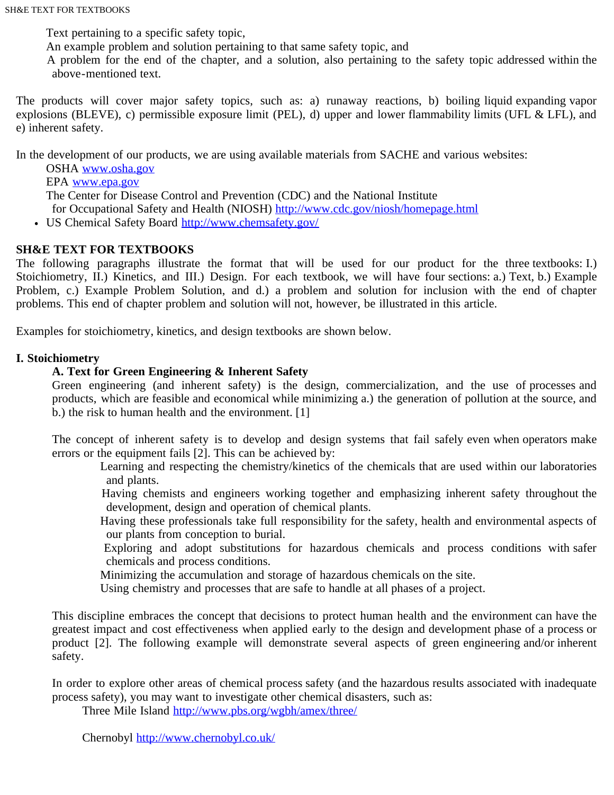Text pertaining to a specific safety topic,

An example problem and solution pertaining to that same safety topic, and

 A problem for the end of the chapter, and a solution, also pertaining to the safety topic addressed within the above-mentioned text.

The products will cover major safety topics, such as: a) runaway reactions, b) boiling liquid expanding vapor explosions (BLEVE), c) permissible exposure limit (PEL), d) upper and lower flammability limits (UFL & LFL), and e) inherent safety.

In the development of our products, we are using available materials from SACHE and various websites:

 OSHA [www.osha.gov](http://www.osha.gov/) EPA [www.epa.gov](http://www.epa.gov/) The Center for Disease Control and Prevention (CDC) and the National Institute for Occupational Safety and Health (NIOSH) <http://www.cdc.gov/niosh/homepage.html>

US Chemical Safety Board<http://www.chemsafety.gov/>

# **SH&E TEXT FOR TEXTBOOKS**

The following paragraphs illustrate the format that will be used for our product for the three textbooks: I.) Stoichiometry, II.) Kinetics, and III.) Design. For each textbook, we will have four sections: a.) Text, b.) Example Problem, c.) Example Problem Solution, and d.) a problem and solution for inclusion with the end of chapter problems. This end of chapter problem and solution will not, however, be illustrated in this article.

Examples for stoichiometry, kinetics, and design textbooks are shown below.

## **I. Stoichiometry**

## **A. Text for Green Engineering & Inherent Safety**

Green engineering (and inherent safety) is the design, commercialization, and the use of processes and products, which are feasible and economical while minimizing a.) the generation of pollution at the source, and b.) the risk to human health and the environment. [1]

The concept of inherent safety is to develop and design systems that fail safely even when operators make errors or the equipment fails [2]. This can be achieved by:

 Learning and respecting the chemistry/kinetics of the chemicals that are used within our laboratories and plants.

 Having chemists and engineers working together and emphasizing inherent safety throughout the development, design and operation of chemical plants.

 Having these professionals take full responsibility for the safety, health and environmental aspects of our plants from conception to burial.

 Exploring and adopt substitutions for hazardous chemicals and process conditions with safer chemicals and process conditions.

Minimizing the accumulation and storage of hazardous chemicals on the site.

Using chemistry and processes that are safe to handle at all phases of a project.

This discipline embraces the concept that decisions to protect human health and the environment can have the greatest impact and cost effectiveness when applied early to the design and development phase of a process or product [2]. The following example will demonstrate several aspects of green engineering and/or inherent safety.

In order to explore other areas of chemical process safety (and the hazardous results associated with inadequate process safety), you may want to investigate other chemical disasters, such as:

Three Mile Island <http://www.pbs.org/wgbh/amex/three/>

Chernobyl <http://www.chernobyl.co.uk/>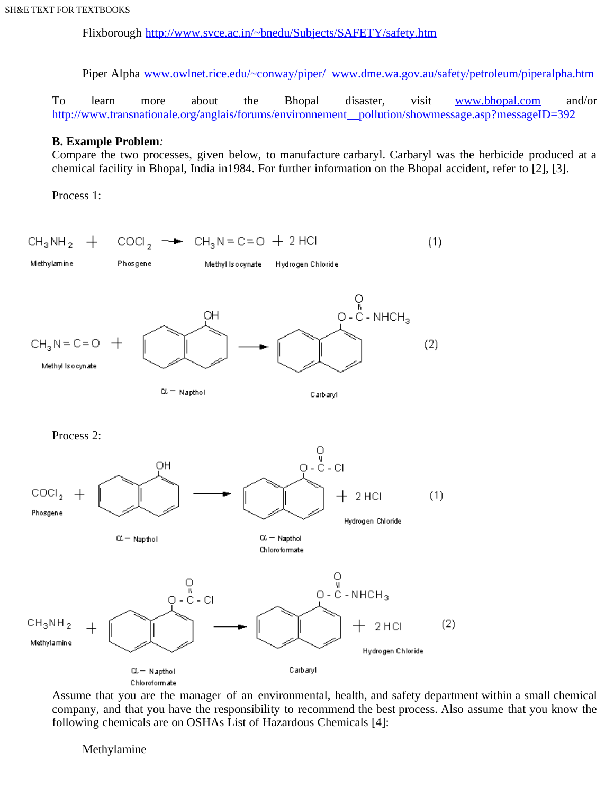Flixborough <http://www.svce.ac.in/~bnedu/Subjects/SAFETY/safety.htm>

Piper Alpha www.owlnet.rice.edu/~conway/piper/ www.dme.wa.gov.au/safety/petroleum/piperalpha.htm

To learn more about the Bhopal disaster, visit [www.bhopal.com](http://www.bhopal.com/) and/or http://www.transnationale.org/anglais/forums/environnement\_pollution/showmessage.asp?messageID=392

### **B. Example Problem***:*

Compare the two processes, given below, to manufacture carbaryl. Carbaryl was the herbicide produced at a chemical facility in Bhopal, India in1984. For further information on the Bhopal accident, refer to [2], [3].

Process 1:

 $+$  COCI<sub>2</sub>  $\rightarrow$  CH<sub>3</sub>N = C=O + 2 HCI  $CH_3NH_2$  $(1)$ Methylamine Phosgene Methyl Isocynate Hydrogen Chloride  $O \n\begin{matrix} 1 & 0 \\ 0 & -C - NHCH_3 \end{matrix}$ OН  $CH<sub>3</sub>N = C = O$  $(2)$ Methyl Islooynate  $\alpha$  = Napthol Carbaryl Process 2:  $0 - C - C1$ OH COCL,  $(1)$ 2 HCI Phosgene Hydrogen Chloride  $\alpha$  - Napthol  $\alpha$  - Napthol Chloroformate  $O \n\begin{matrix} 1 \\ 1 \\ 0 - C - NHCH_3 \end{matrix}$  $\begin{array}{c}\n0 \\
0 \\
0 \\
-0 \\
-0\n\end{array}$  $CH_3NH_2$  $(2)$ 2 HCI Methylamine Hydrogen Chloride  $\alpha$  - Napthol Carbaryl Chloroformate

Assume that you are the manager of an environmental, health, and safety department within a small chemical company, and that you have the responsibility to recommend the best process. Also assume that you know the following chemicals are on OSHAs List of Hazardous Chemicals [4]:

Methylamine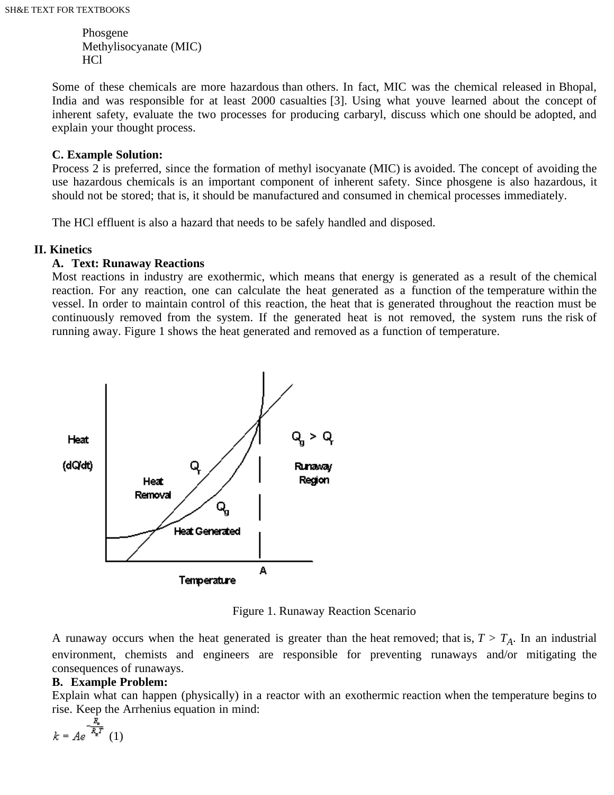Phosgene Methylisocyanate (MIC) HCl

Some of these chemicals are more hazardous than others. In fact, MIC was the chemical released in Bhopal, India and was responsible for at least 2000 casualties [3]. Using what youve learned about the concept of inherent safety, evaluate the two processes for producing carbaryl, discuss which one should be adopted, and explain your thought process.

## **C. Example Solution:**

Process 2 is preferred, since the formation of methyl isocyanate (MIC) is avoided. The concept of avoiding the use hazardous chemicals is an important component of inherent safety. Since phosgene is also hazardous, it should not be stored; that is, it should be manufactured and consumed in chemical processes immediately.

The HCl effluent is also a hazard that needs to be safely handled and disposed.

## **II. Kinetics**

## **A. Text: Runaway Reactions**

Most reactions in industry are exothermic, which means that energy is generated as a result of the chemical reaction. For any reaction, one can calculate the heat generated as a function of the temperature within the vessel. In order to maintain control of this reaction, the heat that is generated throughout the reaction must be continuously removed from the system. If the generated heat is not removed, the system runs the risk of running away. Figure 1 shows the heat generated and removed as a function of temperature.



Figure 1. Runaway Reaction Scenario

A runaway occurs when the heat generated is greater than the heat removed; that is,  $T > T_A$ . In an industrial environment, chemists and engineers are responsible for preventing runaways and/or mitigating the consequences of runaways.

# **B. Example Problem:**

Explain what can happen (physically) in a reactor with an exothermic reaction when the temperature begins to rise. Keep the Arrhenius equation in mind:

$$
k = Ae^{-\frac{E_a}{R_p T}} \quad (1)
$$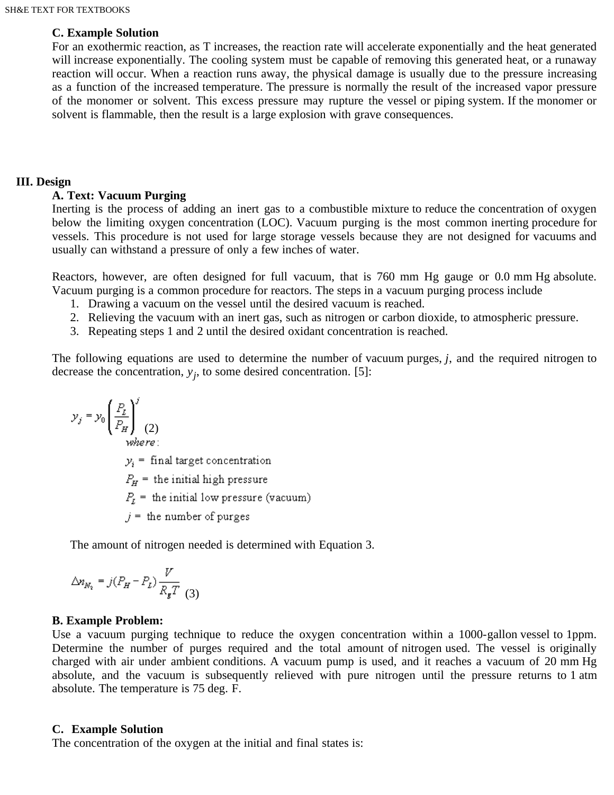#### **C. Example Solution**

For an exothermic reaction, as T increases, the reaction rate will accelerate exponentially and the heat generated will increase exponentially. The cooling system must be capable of removing this generated heat, or a runaway reaction will occur. When a reaction runs away, the physical damage is usually due to the pressure increasing as a function of the increased temperature. The pressure is normally the result of the increased vapor pressure of the monomer or solvent. This excess pressure may rupture the vessel or piping system. If the monomer or solvent is flammable, then the result is a large explosion with grave consequences.

#### **III. Design**

#### **A. Text: Vacuum Purging**

Inerting is the process of adding an inert gas to a combustible mixture to reduce the concentration of oxygen below the limiting oxygen concentration (LOC). Vacuum purging is the most common inerting procedure for vessels. This procedure is not used for large storage vessels because they are not designed for vacuums and usually can withstand a pressure of only a few inches of water.

Reactors, however, are often designed for full vacuum, that is 760 mm Hg gauge or 0.0 mm Hg absolute. Vacuum purging is a common procedure for reactors. The steps in a vacuum purging process include

- 1. Drawing a vacuum on the vessel until the desired vacuum is reached.
- 2. Relieving the vacuum with an inert gas, such as nitrogen or carbon dioxide, to atmospheric pressure.
- 3. Repeating steps 1 and 2 until the desired oxidant concentration is reached.

The following equations are used to determine the number of vacuum purges, *j*, and the required nitrogen to decrease the concentration,  $y_j$ , to some desired concentration. [5]:

$$
y_j = y_0 \left(\frac{P_L}{P_H}\right)^j \tag{2}
$$
  
where:

 $y_i$  = final target concentration

 $P_H$  = the initial high pressure

 $P_t$  = the initial low pressure (vacuum)

 $j =$  the number of purges

The amount of nitrogen needed is determined with Equation 3.

$$
\Delta n_{N_2} = j(P_H - P_L) \frac{V}{R_g T}
$$
 (3)

#### **B. Example Problem:**

Use a vacuum purging technique to reduce the oxygen concentration within a 1000-gallon vessel to 1ppm. Determine the number of purges required and the total amount of nitrogen used. The vessel is originally charged with air under ambient conditions. A vacuum pump is used, and it reaches a vacuum of 20 mm Hg absolute, and the vacuum is subsequently relieved with pure nitrogen until the pressure returns to 1 atm absolute. The temperature is 75 deg. F.

#### **C. Example Solution**

The concentration of the oxygen at the initial and final states is: